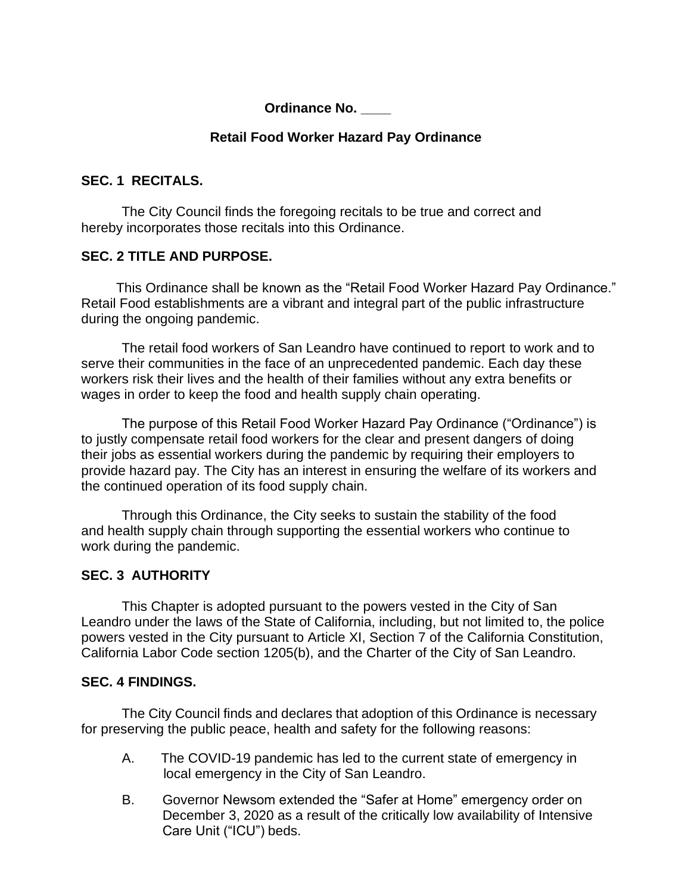### **Ordinance No. \_\_\_\_**

## **Retail Food Worker Hazard Pay Ordinance**

### **SEC. 1 RECITALS.**

The City Council finds the foregoing recitals to be true and correct and hereby incorporates those recitals into this Ordinance.

## **SEC. 2 TITLE AND PURPOSE.**

This Ordinance shall be known as the "Retail Food Worker Hazard Pay Ordinance." Retail Food establishments are a vibrant and integral part of the public infrastructure during the ongoing pandemic.

The retail food workers of San Leandro have continued to report to work and to serve their communities in the face of an unprecedented pandemic. Each day these workers risk their lives and the health of their families without any extra benefits or wages in order to keep the food and health supply chain operating.

The purpose of this Retail Food Worker Hazard Pay Ordinance ("Ordinance") is to justly compensate retail food workers for the clear and present dangers of doing their jobs as essential workers during the pandemic by requiring their employers to provide hazard pay. The City has an interest in ensuring the welfare of its workers and the continued operation of its food supply chain.

Through this Ordinance, the City seeks to sustain the stability of the food and health supply chain through supporting the essential workers who continue to work during the pandemic.

# **SEC. 3 AUTHORITY**

This Chapter is adopted pursuant to the powers vested in the City of San Leandro under the laws of the State of California, including, but not limited to, the police powers vested in the City pursuant to Article XI, Section 7 of the California Constitution, California Labor Code section 1205(b), and the Charter of the City of San Leandro.

### **SEC. 4 FINDINGS.**

The City Council finds and declares that adoption of this Ordinance is necessary for preserving the public peace, health and safety for the following reasons:

- A. The COVID-19 pandemic has led to the current state of emergency in local emergency in the City of San Leandro.
- B. Governor Newsom extended the "Safer at Home" emergency order on December 3, 2020 as a result of the critically low availability of Intensive Care Unit ("ICU") beds.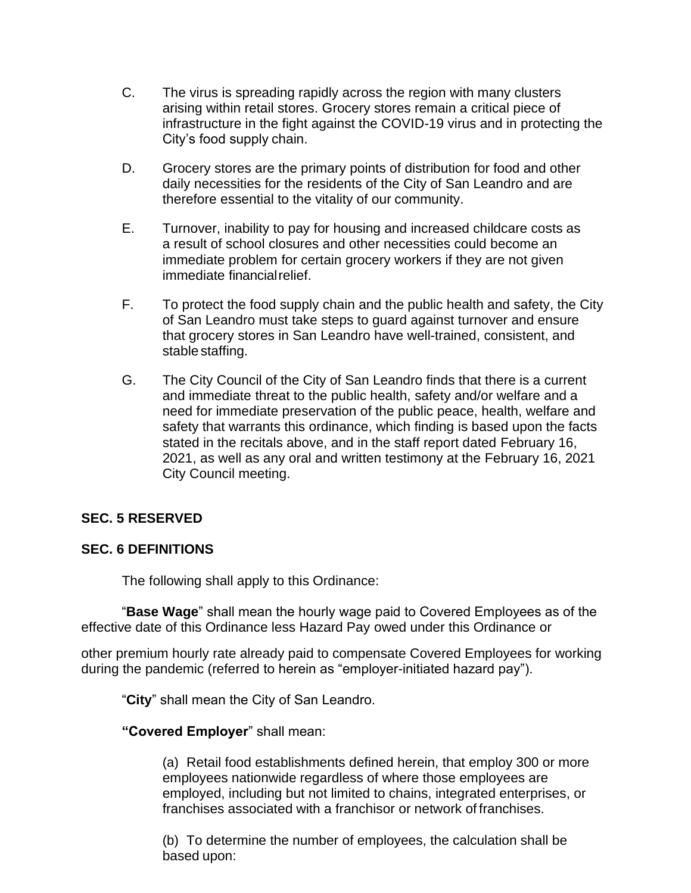- C. The virus is spreading rapidly across the region with many clusters arising within retail stores. Grocery stores remain a critical piece of infrastructure in the fight against the COVID-19 virus and in protecting the City's food supply chain.
- D. Grocery stores are the primary points of distribution for food and other daily necessities for the residents of the City of San Leandro and are therefore essential to the vitality of our community.
- E. Turnover, inability to pay for housing and increased childcare costs as a result of school closures and other necessities could become an immediate problem for certain grocery workers if they are not given immediate financialrelief.
- F. To protect the food supply chain and the public health and safety, the City of San Leandro must take steps to guard against turnover and ensure that grocery stores in San Leandro have well-trained, consistent, and stable staffing.
- G. The City Council of the City of San Leandro finds that there is a current and immediate threat to the public health, safety and/or welfare and a need for immediate preservation of the public peace, health, welfare and safety that warrants this ordinance, which finding is based upon the facts stated in the recitals above, and in the staff report dated February 16, 2021, as well as any oral and written testimony at the February 16, 2021 City Council meeting.

### **SEC. 5 RESERVED**

### **SEC. 6 DEFINITIONS**

The following shall apply to this Ordinance:

"**Base Wage**" shall mean the hourly wage paid to Covered Employees as of the effective date of this Ordinance less Hazard Pay owed under this Ordinance or

other premium hourly rate already paid to compensate Covered Employees for working during the pandemic (referred to herein as "employer-initiated hazard pay").

"**City**" shall mean the City of San Leandro.

#### **"Covered Employer**" shall mean:

(a) Retail food establishments defined herein, that employ 300 or more employees nationwide regardless of where those employees are employed, including but not limited to chains, integrated enterprises, or franchises associated with a franchisor or network of franchises.

(b) To determine the number of employees, the calculation shall be based upon: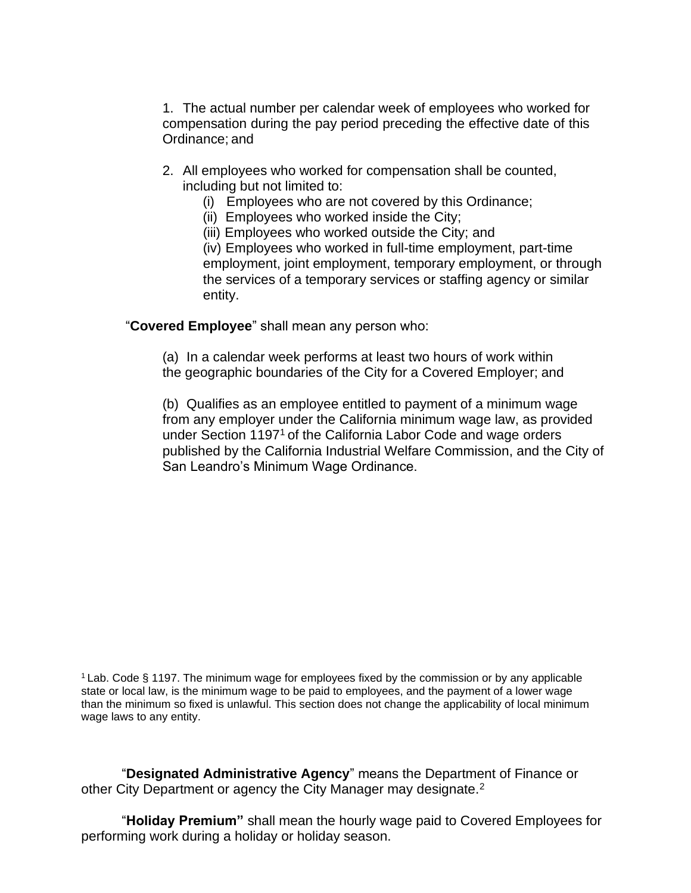1. The actual number per calendar week of employees who worked for compensation during the pay period preceding the effective date of this Ordinance; and

- 2. All employees who worked for compensation shall be counted, including but not limited to:
	- (i) Employees who are not covered by this Ordinance;
	- (ii) Employees who worked inside the City;
	- (iii) Employees who worked outside the City; and

(iv) Employees who worked in full-time employment, part-time employment, joint employment, temporary employment, or through the services of a temporary services or staffing agency or similar entity.

"**Covered Employee**" shall mean any person who:

(a) In a calendar week performs at least two hours of work within the geographic boundaries of the City for a Covered Employer; and

(b) Qualifies as an employee entitled to payment of a minimum wage from any employer under the California minimum wage law, as provided under Section 1197<sup>1</sup> of the California Labor Code and wage orders published by the California Industrial Welfare Commission, and the City of San Leandro's Minimum Wage Ordinance.

"**Designated Administrative Agency**" means the Department of Finance or other City Department or agency the City Manager may designate.<sup>2</sup>

"**Holiday Premium"** shall mean the hourly wage paid to Covered Employees for performing work during a holiday or holiday season.

<sup>1</sup>Lab. Code § 1197. The minimum wage for employees fixed by the commission or by any applicable state or local law, is the minimum wage to be paid to employees, and the payment of a lower wage than the minimum so fixed is unlawful. This section does not change the applicability of local minimum wage laws to any entity.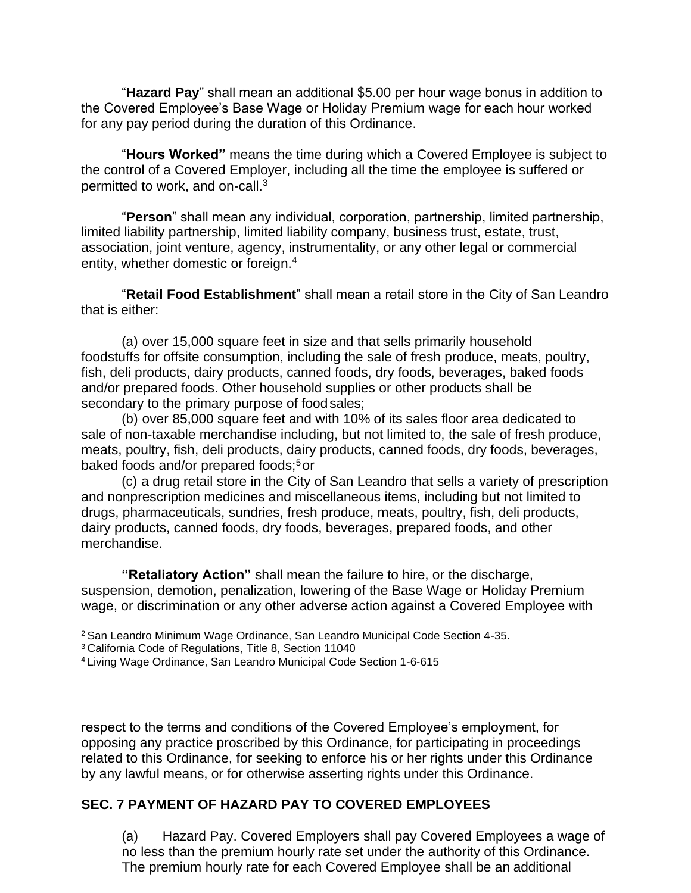"**Hazard Pay**" shall mean an additional \$5.00 per hour wage bonus in addition to the Covered Employee's Base Wage or Holiday Premium wage for each hour worked for any pay period during the duration of this Ordinance.

"**Hours Worked"** means the time during which a Covered Employee is subject to the control of a Covered Employer, including all the time the employee is suffered or permitted to work, and on-call.<sup>3</sup>

"**Person**" shall mean any individual, corporation, partnership, limited partnership, limited liability partnership, limited liability company, business trust, estate, trust, association, joint venture, agency, instrumentality, or any other legal or commercial entity, whether domestic or foreign.<sup>4</sup>

"**Retail Food Establishment**" shall mean a retail store in the City of San Leandro that is either:

(a) over 15,000 square feet in size and that sells primarily household foodstuffs for offsite consumption, including the sale of fresh produce, meats, poultry, fish, deli products, dairy products, canned foods, dry foods, beverages, baked foods and/or prepared foods. Other household supplies or other products shall be secondary to the primary purpose of foodsales;

(b) over 85,000 square feet and with 10% of its sales floor area dedicated to sale of non-taxable merchandise including, but not limited to, the sale of fresh produce, meats, poultry, fish, deli products, dairy products, canned foods, dry foods, beverages, baked foods and/or prepared foods;<sup>5</sup> or

(c) a drug retail store in the City of San Leandro that sells a variety of prescription and nonprescription medicines and miscellaneous items, including but not limited to drugs, pharmaceuticals, sundries, fresh produce, meats, poultry, fish, deli products, dairy products, canned foods, dry foods, beverages, prepared foods, and other merchandise.

**"Retaliatory Action"** shall mean the failure to hire, or the discharge, suspension, demotion, penalization, lowering of the Base Wage or Holiday Premium wage, or discrimination or any other adverse action against a Covered Employee with

<sup>2</sup>San Leandro Minimum Wage Ordinance, San Leandro Municipal Code Section 4-35.

<sup>3</sup>California Code of Regulations, Title 8, Section 11040

<sup>4</sup>Living Wage Ordinance, San Leandro Municipal Code Section 1-6-615

respect to the terms and conditions of the Covered Employee's employment, for opposing any practice proscribed by this Ordinance, for participating in proceedings related to this Ordinance, for seeking to enforce his or her rights under this Ordinance by any lawful means, or for otherwise asserting rights under this Ordinance.

## **SEC. 7 PAYMENT OF HAZARD PAY TO COVERED EMPLOYEES**

(a) Hazard Pay. Covered Employers shall pay Covered Employees a wage of no less than the premium hourly rate set under the authority of this Ordinance. The premium hourly rate for each Covered Employee shall be an additional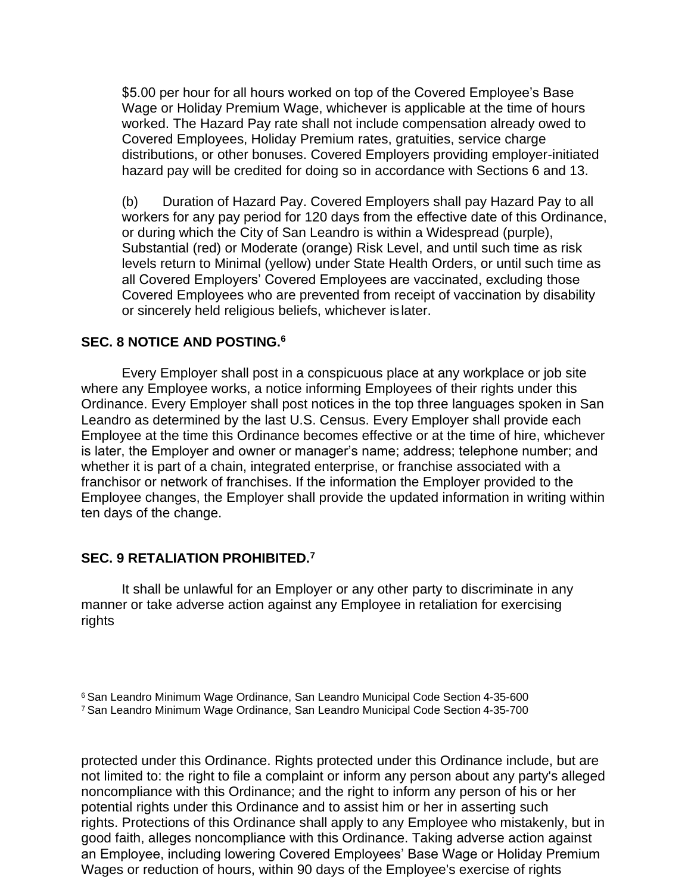\$5.00 per hour for all hours worked on top of the Covered Employee's Base Wage or Holiday Premium Wage, whichever is applicable at the time of hours worked. The Hazard Pay rate shall not include compensation already owed to Covered Employees, Holiday Premium rates, gratuities, service charge distributions, or other bonuses. Covered Employers providing employer-initiated hazard pay will be credited for doing so in accordance with Sections 6 and 13.

(b) Duration of Hazard Pay. Covered Employers shall pay Hazard Pay to all workers for any pay period for 120 days from the effective date of this Ordinance, or during which the City of San Leandro is within a Widespread (purple), Substantial (red) or Moderate (orange) Risk Level, and until such time as risk levels return to Minimal (yellow) under State Health Orders, or until such time as all Covered Employers' Covered Employees are vaccinated, excluding those Covered Employees who are prevented from receipt of vaccination by disability or sincerely held religious beliefs, whichever is later.

#### **SEC. 8 NOTICE AND POSTING.<sup>6</sup>**

Every Employer shall post in a conspicuous place at any workplace or job site where any Employee works, a notice informing Employees of their rights under this Ordinance. Every Employer shall post notices in the top three languages spoken in San Leandro as determined by the last U.S. Census. Every Employer shall provide each Employee at the time this Ordinance becomes effective or at the time of hire, whichever is later, the Employer and owner or manager's name; address; telephone number; and whether it is part of a chain, integrated enterprise, or franchise associated with a franchisor or network of franchises. If the information the Employer provided to the Employee changes, the Employer shall provide the updated information in writing within ten days of the change.

### **SEC. 9 RETALIATION PROHIBITED.<sup>7</sup>**

It shall be unlawful for an Employer or any other party to discriminate in any manner or take adverse action against any Employee in retaliation for exercising rights

<sup>6</sup>San Leandro Minimum Wage Ordinance, San Leandro Municipal Code Section 4-35-600 <sup>7</sup>San Leandro Minimum Wage Ordinance, San Leandro Municipal Code Section 4-35-700

protected under this Ordinance. Rights protected under this Ordinance include, but are not limited to: the right to file a complaint or inform any person about any party's alleged noncompliance with this Ordinance; and the right to inform any person of his or her potential rights under this Ordinance and to assist him or her in asserting such rights. Protections of this Ordinance shall apply to any Employee who mistakenly, but in good faith, alleges noncompliance with this Ordinance. Taking adverse action against an Employee, including lowering Covered Employees' Base Wage or Holiday Premium Wages or reduction of hours, within 90 days of the Employee's exercise of rights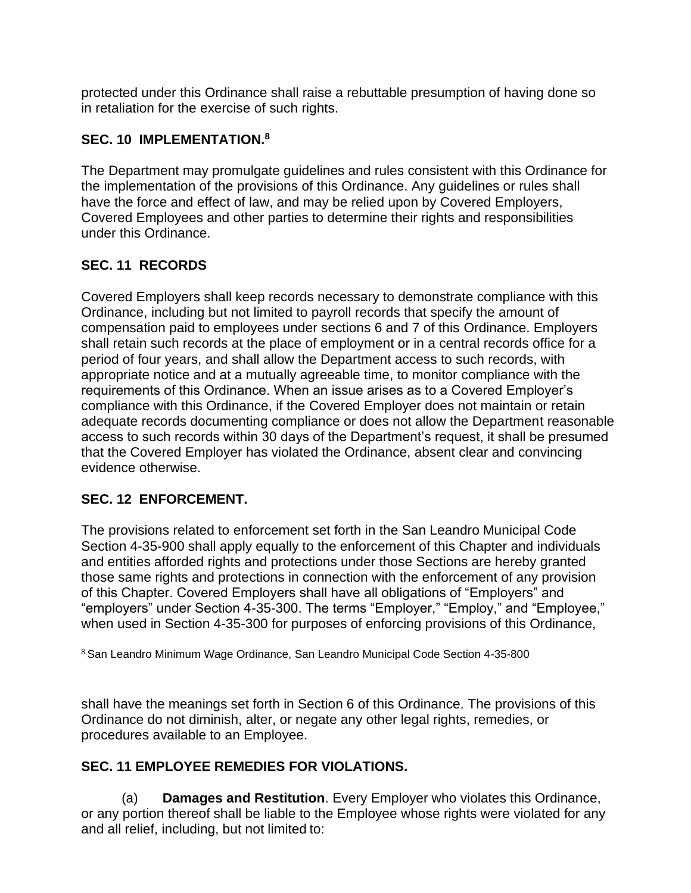protected under this Ordinance shall raise a rebuttable presumption of having done so in retaliation for the exercise of such rights.

## **SEC. 10 IMPLEMENTATION.<sup>8</sup>**

The Department may promulgate guidelines and rules consistent with this Ordinance for the implementation of the provisions of this Ordinance. Any guidelines or rules shall have the force and effect of law, and may be relied upon by Covered Employers, Covered Employees and other parties to determine their rights and responsibilities under this Ordinance.

# **SEC. 11 RECORDS**

Covered Employers shall keep records necessary to demonstrate compliance with this Ordinance, including but not limited to payroll records that specify the amount of compensation paid to employees under sections 6 and 7 of this Ordinance. Employers shall retain such records at the place of employment or in a central records office for a period of four years, and shall allow the Department access to such records, with appropriate notice and at a mutually agreeable time, to monitor compliance with the requirements of this Ordinance. When an issue arises as to a Covered Employer's compliance with this Ordinance, if the Covered Employer does not maintain or retain adequate records documenting compliance or does not allow the Department reasonable access to such records within 30 days of the Department's request, it shall be presumed that the Covered Employer has violated the Ordinance, absent clear and convincing evidence otherwise.

### **SEC. 12 ENFORCEMENT.**

The provisions related to enforcement set forth in the San Leandro Municipal Code Section 4-35-900 shall apply equally to the enforcement of this Chapter and individuals and entities afforded rights and protections under those Sections are hereby granted those same rights and protections in connection with the enforcement of any provision of this Chapter. Covered Employers shall have all obligations of "Employers" and "employers" under Section 4-35-300. The terms "Employer," "Employ," and "Employee," when used in Section 4-35-300 for purposes of enforcing provisions of this Ordinance,

<sup>8</sup>San Leandro Minimum Wage Ordinance, San Leandro Municipal Code Section 4-35-800

shall have the meanings set forth in Section 6 of this Ordinance. The provisions of this Ordinance do not diminish, alter, or negate any other legal rights, remedies, or procedures available to an Employee.

### **SEC. 11 EMPLOYEE REMEDIES FOR VIOLATIONS.**

(a) **Damages and Restitution**. Every Employer who violates this Ordinance, or any portion thereof shall be liable to the Employee whose rights were violated for any and all relief, including, but not limited to: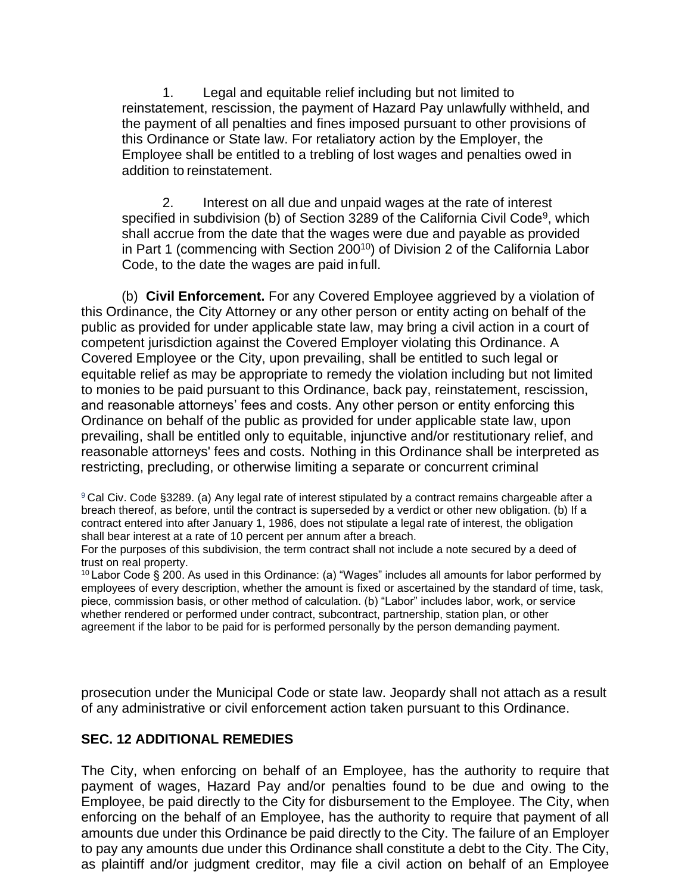1. Legal and equitable relief including but not limited to reinstatement, rescission, the payment of Hazard Pay unlawfully withheld, and the payment of all penalties and fines imposed pursuant to other provisions of this Ordinance or State law. For retaliatory action by the Employer, the Employee shall be entitled to a trebling of lost wages and penalties owed in addition to reinstatement.

2. Interest on all due and unpaid wages at the rate of interest specified in subdivision (b) of Section 3289 of the California Civil Code<sup>9</sup>, which shall accrue from the date that the wages were due and payable as provided in Part 1 (commencing with Section 200<sup>10</sup>) of Division 2 of the California Labor Code, to the date the wages are paid infull.

(b) **Civil Enforcement.** For any Covered Employee aggrieved by a violation of this Ordinance, the City Attorney or any other person or entity acting on behalf of the public as provided for under applicable state law, may bring a civil action in a court of competent jurisdiction against the Covered Employer violating this Ordinance. A Covered Employee or the City, upon prevailing, shall be entitled to such legal or equitable relief as may be appropriate to remedy the violation including but not limited to monies to be paid pursuant to this Ordinance, back pay, reinstatement, rescission, and reasonable attorneys' fees and costs. Any other person or entity enforcing this Ordinance on behalf of the public as provided for under applicable state law, upon prevailing, shall be entitled only to equitable, injunctive and/or restitutionary relief, and reasonable attorneys' fees and costs. Nothing in this Ordinance shall be interpreted as restricting, precluding, or otherwise limiting a separate or concurrent criminal

<sup>9</sup>Cal Civ. Code §3289. (a) Any legal rate of interest stipulated by a contract remains chargeable after a breach thereof, as before, until the contract is superseded by a verdict or other new obligation. (b) If a contract entered into after January 1, 1986, does not stipulate a legal rate of interest, the obligation shall bear interest at a rate of 10 percent per annum after a breach.

For the purposes of this subdivision, the term contract shall not include a note secured by a deed of trust on real property.

 $10$  Labor Code § 200. As used in this Ordinance: (a) "Wages" includes all amounts for labor performed by employees of every description, whether the amount is fixed or ascertained by the standard of time, task, piece, commission basis, or other method of calculation. (b) "Labor" includes labor, work, or service whether rendered or performed under contract, subcontract, partnership, station plan, or other agreement if the labor to be paid for is performed personally by the person demanding payment.

prosecution under the Municipal Code or state law. Jeopardy shall not attach as a result of any administrative or civil enforcement action taken pursuant to this Ordinance.

### **SEC. 12 ADDITIONAL REMEDIES**

The City, when enforcing on behalf of an Employee, has the authority to require that payment of wages, Hazard Pay and/or penalties found to be due and owing to the Employee, be paid directly to the City for disbursement to the Employee. The City, when enforcing on the behalf of an Employee, has the authority to require that payment of all amounts due under this Ordinance be paid directly to the City. The failure of an Employer to pay any amounts due under this Ordinance shall constitute a debt to the City. The City, as plaintiff and/or judgment creditor, may file a civil action on behalf of an Employee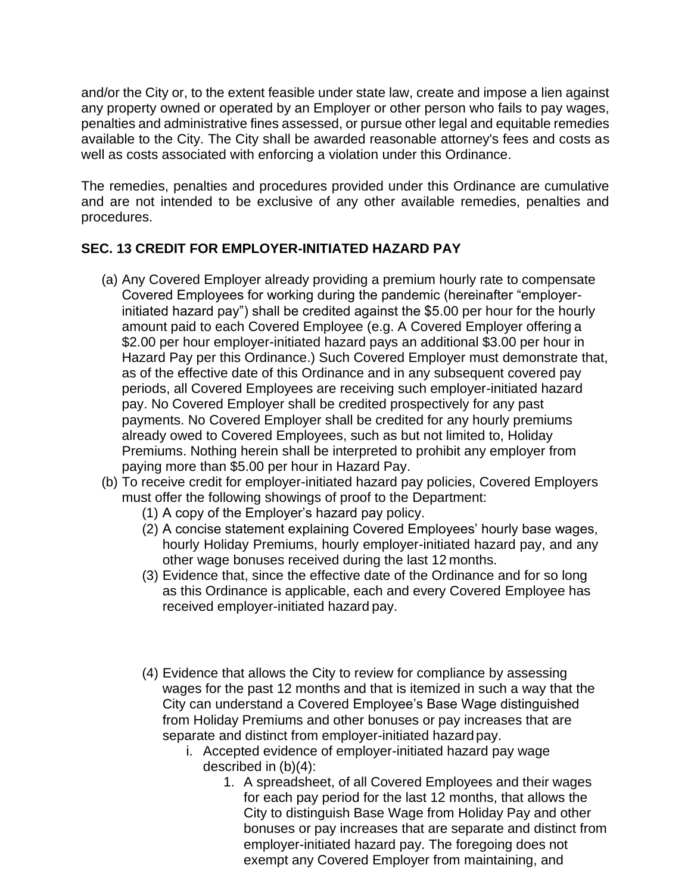and/or the City or, to the extent feasible under state law, create and impose a lien against any property owned or operated by an Employer or other person who fails to pay wages, penalties and administrative fines assessed, or pursue other legal and equitable remedies available to the City. The City shall be awarded reasonable attorney's fees and costs as well as costs associated with enforcing a violation under this Ordinance.

The remedies, penalties and procedures provided under this Ordinance are cumulative and are not intended to be exclusive of any other available remedies, penalties and procedures.

# **SEC. 13 CREDIT FOR EMPLOYER-INITIATED HAZARD PAY**

- (a) Any Covered Employer already providing a premium hourly rate to compensate Covered Employees for working during the pandemic (hereinafter "employerinitiated hazard pay") shall be credited against the \$5.00 per hour for the hourly amount paid to each Covered Employee (e.g. A Covered Employer offering a \$2.00 per hour employer-initiated hazard pays an additional \$3.00 per hour in Hazard Pay per this Ordinance.) Such Covered Employer must demonstrate that, as of the effective date of this Ordinance and in any subsequent covered pay periods, all Covered Employees are receiving such employer-initiated hazard pay. No Covered Employer shall be credited prospectively for any past payments. No Covered Employer shall be credited for any hourly premiums already owed to Covered Employees, such as but not limited to, Holiday Premiums. Nothing herein shall be interpreted to prohibit any employer from paying more than \$5.00 per hour in Hazard Pay.
- (b) To receive credit for employer-initiated hazard pay policies, Covered Employers must offer the following showings of proof to the Department:
	- (1) A copy of the Employer's hazard pay policy.
	- (2) A concise statement explaining Covered Employees' hourly base wages, hourly Holiday Premiums, hourly employer-initiated hazard pay, and any other wage bonuses received during the last 12 months.
	- (3) Evidence that, since the effective date of the Ordinance and for so long as this Ordinance is applicable, each and every Covered Employee has received employer-initiated hazard pay.
	- (4) Evidence that allows the City to review for compliance by assessing wages for the past 12 months and that is itemized in such a way that the City can understand a Covered Employee's Base Wage distinguished from Holiday Premiums and other bonuses or pay increases that are separate and distinct from employer-initiated hazard pay.
		- i. Accepted evidence of employer-initiated hazard pay wage described in (b)(4):
			- 1. A spreadsheet, of all Covered Employees and their wages for each pay period for the last 12 months, that allows the City to distinguish Base Wage from Holiday Pay and other bonuses or pay increases that are separate and distinct from employer-initiated hazard pay. The foregoing does not exempt any Covered Employer from maintaining, and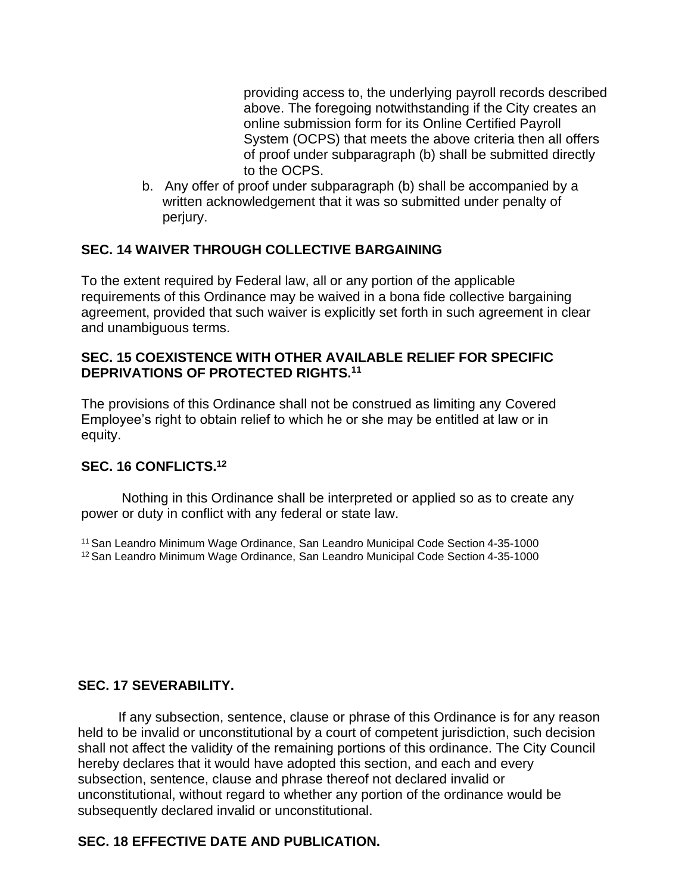providing access to, the underlying payroll records described above. The foregoing notwithstanding if the City creates an online submission form for its Online Certified Payroll System (OCPS) that meets the above criteria then all offers of proof under subparagraph (b) shall be submitted directly to the OCPS.

b. Any offer of proof under subparagraph (b) shall be accompanied by a written acknowledgement that it was so submitted under penalty of perjury.

### **SEC. 14 WAIVER THROUGH COLLECTIVE BARGAINING**

To the extent required by Federal law, all or any portion of the applicable requirements of this Ordinance may be waived in a bona fide collective bargaining agreement, provided that such waiver is explicitly set forth in such agreement in clear and unambiguous terms.

#### **SEC. 15 COEXISTENCE WITH OTHER AVAILABLE RELIEF FOR SPECIFIC DEPRIVATIONS OF PROTECTED RIGHTS.<sup>11</sup>**

The provisions of this Ordinance shall not be construed as limiting any Covered Employee's right to obtain relief to which he or she may be entitled at law or in equity.

### **SEC. 16 CONFLICTS.<sup>12</sup>**

Nothing in this Ordinance shall be interpreted or applied so as to create any power or duty in conflict with any federal or state law.

<sup>11</sup>San Leandro Minimum Wage Ordinance, San Leandro Municipal Code Section 4-35-1000 <sup>12</sup> San Leandro Minimum Wage Ordinance, San Leandro Municipal Code Section 4-35-1000

### **SEC. 17 SEVERABILITY.**

If any subsection, sentence, clause or phrase of this Ordinance is for any reason held to be invalid or unconstitutional by a court of competent jurisdiction, such decision shall not affect the validity of the remaining portions of this ordinance. The City Council hereby declares that it would have adopted this section, and each and every subsection, sentence, clause and phrase thereof not declared invalid or unconstitutional, without regard to whether any portion of the ordinance would be subsequently declared invalid or unconstitutional.

# **SEC. 18 EFFECTIVE DATE AND PUBLICATION.**